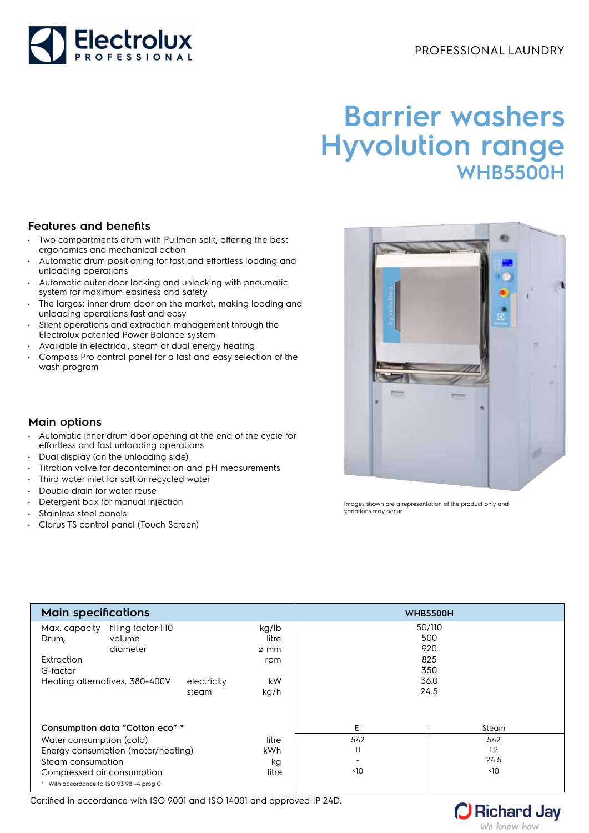

# **Barrier washers Hyvolution range WHB5500H**

### **Features and benefits**

- Two compartments drum with Pullman split, offering the best ergonomics and mechanical action
- Automatic drum positioning for fast and effortless loading and unloading operations
- Automatic outer door locking and unlocking with pneumatic system for maximum easiness and safety
- The largest inner drum door on the market, making loading and unloading operations fast and easy
- Silent operations and extraction management through the Electrolux patented Power Balance system
- Available in electrical, steam or dual energy heating
- Compass Pro control panel for a fast and easy selection of the wash program

## **Main options**

- Automatic inner drum door opening at the end of the cycle for effortless and fast unloading operations
- Dual display (on the unloading side)
- Titration valve for decontamination and pH measurements
- Third water inlet for soft or recycled water
- Double drain for water reuse
- Detergent box for manual injection
- Stainless steel panels
- Clarus TS control panel (Touch Screen)

Images shown are a representation of the product only and variations may occur.

| <b>Main specifications</b>                                                                                                                                                                        |                      |                                             | <b>WHB5500H</b>                       |                                                    |  |
|---------------------------------------------------------------------------------------------------------------------------------------------------------------------------------------------------|----------------------|---------------------------------------------|---------------------------------------|----------------------------------------------------|--|
| filling factor 1:10<br>Max. capacity<br>volume<br>Drum,<br>diameter<br>Extraction<br>G-factor<br>Heating alternatives, 380-400V                                                                   | electricity<br>steam | kg/lb<br>litre<br>ø mm<br>rpm<br>kW<br>kg/h |                                       | 50/110<br>500<br>920<br>825<br>350<br>36.0<br>24.5 |  |
| Consumption data "Cotton eco" *<br>Water consumption (cold)<br>Energy consumption (motor/heating)<br>Steam consumption<br>Compressed air consumption<br>* With accordance to ISO 93 98 -4 prog C. |                      | litre<br>kWh<br>kg<br>litre                 | EI<br>542<br>11<br>$\triangleleft$ 10 | Steam<br>542<br>1.2<br>24.5<br>$\triangleleft$ 10  |  |

Certified in accordance with ISO 9001 and ISO 14001 and approved IP 24D.

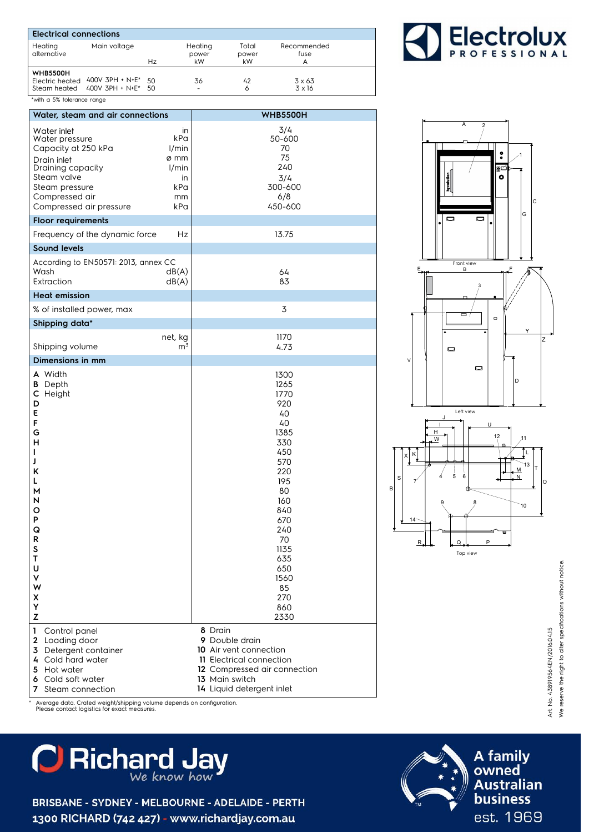| <b>Electrical connections</b>   |                                                            |    |                        |                      |                          |
|---------------------------------|------------------------------------------------------------|----|------------------------|----------------------|--------------------------|
| Heating<br>alternative          | Main voltage                                               | Hz | Heating<br>power<br>kW | Total<br>power<br>kW | Recommended<br>fuse<br>А |
| <b>WHB5500H</b><br>Steam heated | Electric heated $400V$ 3PH + N+E* 50<br>400V 3PH + N+E* 50 |    | 36                     | 42<br>6              | $3 \times 63$<br>3 x 16  |
| *with a 5% tolerance range      |                                                            |    |                        |                      |                          |



2

A

| Water, steam and air connections                                                                                                                                                                                                        |                                                                                                                                                                                      |  |  |  |
|-----------------------------------------------------------------------------------------------------------------------------------------------------------------------------------------------------------------------------------------|--------------------------------------------------------------------------------------------------------------------------------------------------------------------------------------|--|--|--|
|                                                                                                                                                                                                                                         | <b>WHB5500H</b>                                                                                                                                                                      |  |  |  |
| Water inlet<br>in<br>kPa<br>Water pressure<br>Capacity at 250 kPa<br>1/min<br>ø mm<br>Drain inlet<br>Draining capacity<br>1/min<br>Steam valve<br>in<br>kPa<br>Steam pressure<br>Compressed air<br>mm<br>Compressed air pressure<br>kPa | 3/4<br>50-600<br>70<br>75<br>240<br>3/4<br>300-600<br>6/8<br>450-600                                                                                                                 |  |  |  |
| <b>Floor requirements</b>                                                                                                                                                                                                               |                                                                                                                                                                                      |  |  |  |
| Frequency of the dynamic force<br>Hz                                                                                                                                                                                                    | 13.75                                                                                                                                                                                |  |  |  |
| <b>Sound levels</b>                                                                                                                                                                                                                     |                                                                                                                                                                                      |  |  |  |
| According to EN50571: 2013, annex CC<br>Wash<br>dB(A)<br>Extraction<br>dB(A)                                                                                                                                                            | 64<br>83                                                                                                                                                                             |  |  |  |
| <b>Heat emission</b>                                                                                                                                                                                                                    |                                                                                                                                                                                      |  |  |  |
| % of installed power, max                                                                                                                                                                                                               | 3                                                                                                                                                                                    |  |  |  |
| Shipping data*                                                                                                                                                                                                                          |                                                                                                                                                                                      |  |  |  |
| net, kg<br>m <sup>3</sup><br>Shipping volume                                                                                                                                                                                            | 1170<br>4.73                                                                                                                                                                         |  |  |  |
| Dimensions in mm                                                                                                                                                                                                                        |                                                                                                                                                                                      |  |  |  |
| <b>A</b> Width<br><b>B</b> Depth<br>C Height<br>D<br>E<br>F<br>G<br>н<br>L<br>J<br>Κ<br>L<br>м<br>N<br>o<br>P<br>Q<br>R<br>S<br>Т<br>U<br>٧<br>W<br>Χ<br>Υ<br>Z                                                                         | 1300<br>1265<br>1770<br>920<br>40<br>40<br>1385<br>330<br>450<br>570<br>220<br>195<br>80<br>160<br>840<br>670<br>240<br>70<br>1135<br>635<br>650<br>1560<br>85<br>270<br>860<br>2330 |  |  |  |
| 1<br>Control panel<br>2 Loading door<br>3 Detergent container<br>4 Cold hard water<br>5 Hot water<br>6 Cold soft water<br><b>7</b> Steam connection                                                                                     | 8 Drain<br>9 Double drain<br>10 Air vent connection<br>11 Electrical connection<br>12 Compressed air connection<br>13 Main switch<br>14 Liquid detergent inlet                       |  |  |  |

\* Average data. Crated weight/shipping volume depends on configuration. Please contact logistics for exact measures.

# **C** Richard Jay

BRISBANE - SYDNEY - MELBOURNE - ADELAIDE - PERTH 1300 RICHARD (742 427) - www.richardjay.com.au